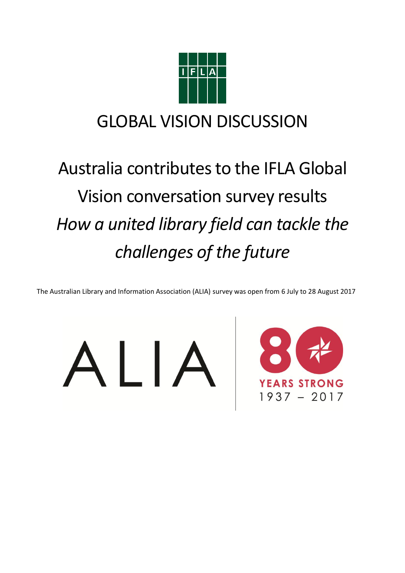

# GLOBAL VISION DISCUSSION

# Australia contributes to the IFLA Global Vision conversation survey results *How a united library field can tackle the challenges of the future*

The Australian Library and Information Association (ALIA) survey was open from 6 July to 28 August 2017



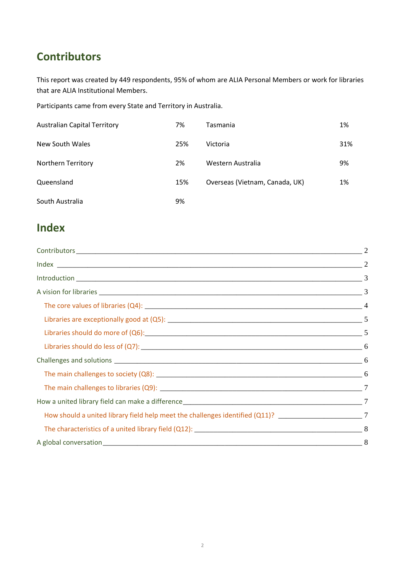# **Contributors**

This report was created by 449 respondents, 95% of whom are ALIA Personal Members or work for libraries that are ALIA Institutional Members.

Participants came from every State and Territory in Australia.

| <b>Australian Capital Territory</b> | 7%  | <b>Tasmania</b>                | 1%  |
|-------------------------------------|-----|--------------------------------|-----|
| New South Wales                     | 25% | Victoria                       | 31% |
| <b>Northern Territory</b>           | 2%  | Western Australia              | 9%  |
| Queensland                          | 15% | Overseas (Vietnam, Canada, UK) | 1%  |
| South Australia                     | 9%  |                                |     |

# **Index**

| How should a united library field help meet the challenges identified (Q11)? ______________________________7 |  |
|--------------------------------------------------------------------------------------------------------------|--|
|                                                                                                              |  |
|                                                                                                              |  |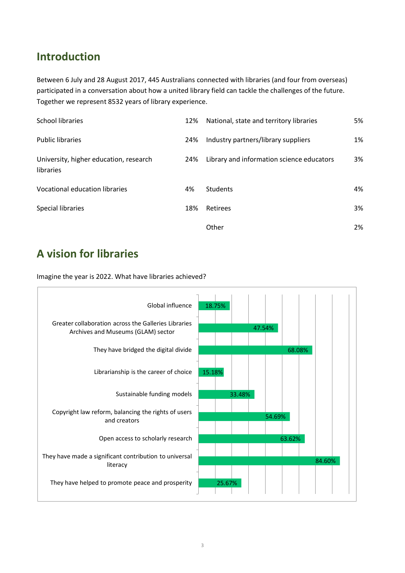## **Introduction**

Between 6 July and 28 August 2017, 445 Australians connected with libraries (and four from overseas) participated in a conversation about how a united library field can tackle the challenges of the future. Together we represent 8532 years of library experience.

| School libraries                                    | 12% | National, state and territory libraries   | 5% |
|-----------------------------------------------------|-----|-------------------------------------------|----|
| <b>Public libraries</b>                             | 24% | Industry partners/library suppliers       | 1% |
| University, higher education, research<br>libraries | 24% | Library and information science educators | 3% |
| Vocational education libraries                      | 4%  | <b>Students</b>                           | 4% |
| Special libraries                                   | 18% | Retirees                                  | 3% |
|                                                     |     | Other                                     | 2% |

# **A vision for libraries**

Imagine the year is 2022. What have libraries achieved?

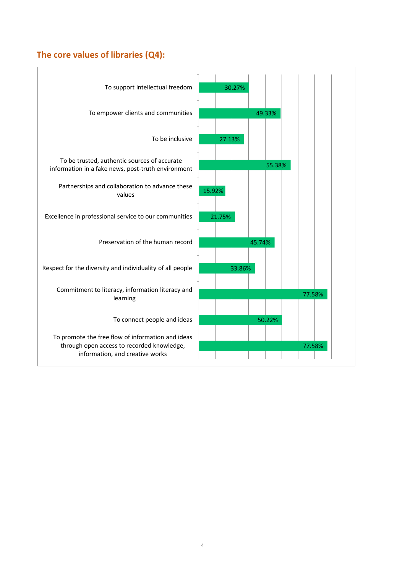#### **The core values of libraries (Q4):**

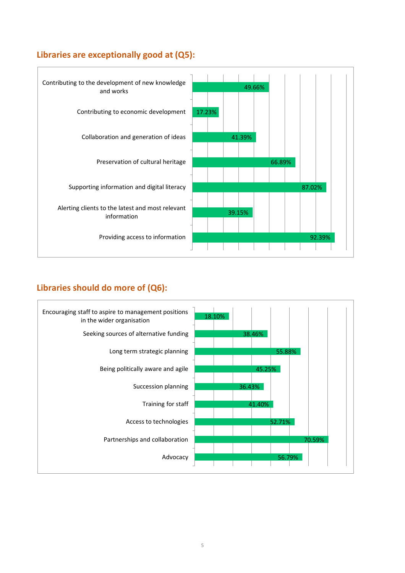#### **Libraries are exceptionally good at (Q5):**



#### **Libraries should do more of (Q6):**

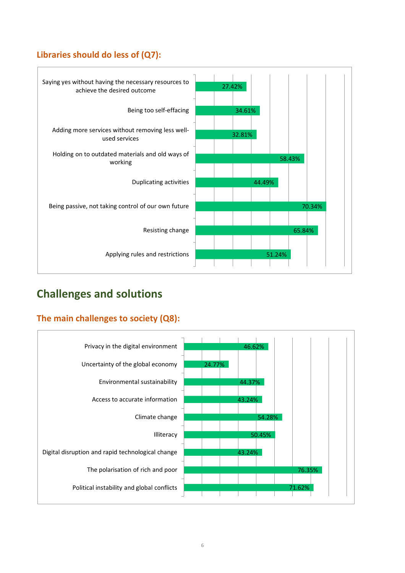#### **Libraries should do less of (Q7):**



# **Challenges and solutions**

#### **The main challenges to society (Q8):**

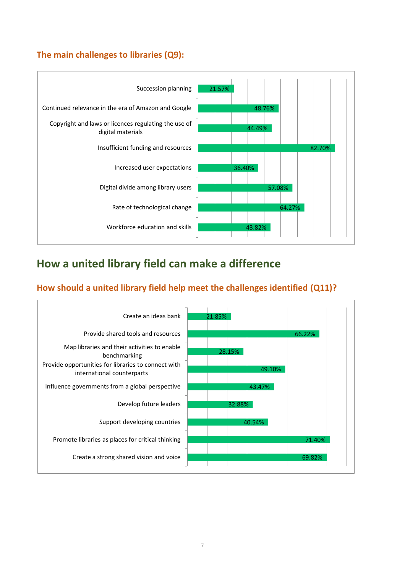#### **The main challenges to libraries (Q9):**



### **How a united library field can make a difference**

#### **How should a united library field help meet the challenges identified (Q11)?**